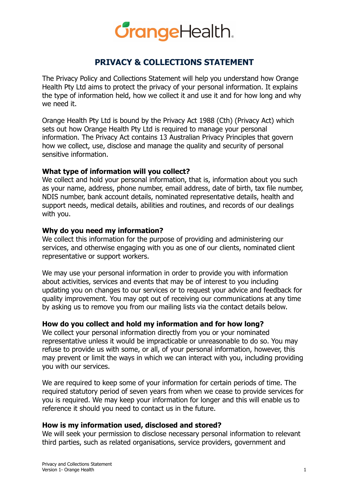## **GrangeHealth.**

### **PRIVACY & COLLECTIONS STATEMENT**

The Privacy Policy and Collections Statement will help you understand how Orange Health Pty Ltd aims to protect the privacy of your personal information. It explains the type of information held, how we collect it and use it and for how long and why we need it.

Orange Health Pty Ltd is bound by the Privacy Act 1988 (Cth) (Privacy Act) which sets out how Orange Health Pty Ltd is required to manage your personal information. The Privacy Act contains 13 Australian Privacy Principles that govern how we collect, use, disclose and manage the quality and security of personal sensitive information.

#### **What type of information will you collect?**

We collect and hold your personal information, that is, information about you such as your name, address, phone number, email address, date of birth, tax file number, NDIS number, bank account details, nominated representative details, health and support needs, medical details, abilities and routines, and records of our dealings with you.

#### **Why do you need my information?**

We collect this information for the purpose of providing and administering our services, and otherwise engaging with you as one of our clients, nominated client representative or support workers.

We may use your personal information in order to provide you with information about activities, services and events that may be of interest to you including updating you on changes to our services or to request your advice and feedback for quality improvement. You may opt out of receiving our communications at any time by asking us to remove you from our mailing lists via the contact details below.

#### **How do you collect and hold my information and for how long?**

We collect your personal information directly from you or your nominated representative unless it would be impracticable or unreasonable to do so. You may refuse to provide us with some, or all, of your personal information, however, this may prevent or limit the ways in which we can interact with you, including providing you with our services.

We are required to keep some of your information for certain periods of time. The required statutory period of seven years from when we cease to provide services for you is required. We may keep your information for longer and this will enable us to reference it should you need to contact us in the future.

#### **How is my information used, disclosed and stored?**

We will seek your permission to disclose necessary personal information to relevant third parties, such as related organisations, service providers, government and